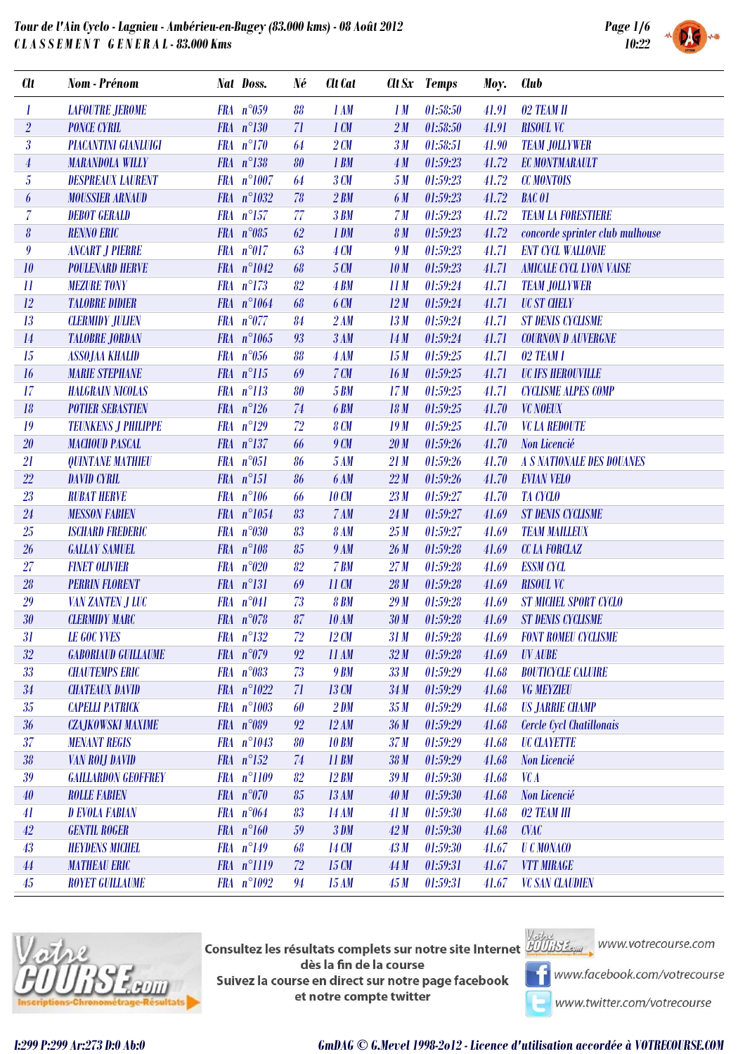

| <b>Clt</b>                | <b>Nom</b> - Prénom         | <b>Nat Doss.</b>     | Né | <b>Clt</b> Cat    |                 | Clt Sx Temps | Moy.  | <b>Club</b>                      |
|---------------------------|-----------------------------|----------------------|----|-------------------|-----------------|--------------|-------|----------------------------------|
|                           | <b>LAFOUTRE JEROME</b>      | FRA $n^{\circ}059$   | 88 | 1AM               | 1 <sub>M</sub>  | 01:58:50     | 41.91 | 02 TEAM II                       |
| $\overline{2}$            | <b>PONCE CYRIL</b>          | $FRA n^{\circ}130$   | 71 | $1 \, \text{CM}$  | 2M              | 01:58:50     | 41.91 | <b>RISOUL VC</b>                 |
| $\overline{\mathfrak{z}}$ | <b>PIACANTINI GIANLUIGI</b> | $FRA n^{\circ}170$   | 64 | 2CM               | 3 <sub>M</sub>  | 01:58:51     | 41.90 | <b>TEAM JOLLYWER</b>             |
| $\overline{4}$            | <b>MARANDOLA WILLY</b>      | $FRA n^{\circ}138$   | 80 | 1 BM              | 4M              | 01:59:23     | 41.72 | <b>EC MONTMARAULT</b>            |
| $\overline{5}$            | <b>DESPREAUX LAURENT</b>    | FRA n°1007           | 64 | 3CM               | 5M              | 01:59:23     | 41.72 | <b>CC MONTOIS</b>                |
| 6                         | <b>MOUSSIER ARNAUD</b>      | FRA n°1032           | 78 | 2BM               | 6 M             | 01:59:23     | 41.72 | <b>BAC 01</b>                    |
| $\overline{\mathcal{L}}$  | <b>DEBOT GERALD</b>         | $FRA n^{\circ}157$   | 77 | 3BM               | 7 <sub>M</sub>  | 01:59:23     | 41.72 | <b>TEAM LA FORESTIERE</b>        |
| $\pmb{\vartheta}$         | <b>RENNO ERIC</b>           | FRA $n^{\circ}085$   | 62 | 1 DM              | 8 <sub>M</sub>  | 01:59:23     | 41.72 | concorde sprinter club mulhouse  |
| 9                         | <b>ANCART J PIERRE</b>      | FRA n°017            | 63 | 4CM               | 9 M             | 01:59:23     | 41.71 | <b>ENT CYCL WALLONIE</b>         |
| 10                        | <b>POULENARD HERVE</b>      | FRA n°1042           | 68 | 5 CM              | 10 <sub>M</sub> | 01:59:23     | 41.71 | <b>AMICALE CYCL LYON VAISE</b>   |
| $\mathcal{I}$             | <b>MEZURE TONY</b>          | $FRA n^{\circ}173$   | 82 | 4BM               | 11M             | 01:59:24     | 41.71 | <b>TEAM JOLLYWER</b>             |
| $12\,$                    | <b>TALOBRE DIDIER</b>       | FRA n°1064           | 68 | 6 CM              | 12M             | 01:59:24     | 41.71 | <b>UC ST CHELY</b>               |
| 13                        | <b>CLERMIDY JULIEN</b>      | $FRA$ $n^{\circ}077$ | 84 | 2AM               | 13M             | 01:59:24     | 41.71 | <b>ST DENIS CYCLISME</b>         |
| $14\,$                    | <b>TALOBRE JORDAN</b>       | FRA n°1065           | 93 | 3AM               | 14M             | 01:59:24     | 41.71 | <b>COURNON D AUVERGNE</b>        |
| 15                        | <b>ASSOJAA KHALID</b>       | FRA $n^{\circ}056$   | 88 | 4AM               | 15M             | 01:59:25     | 41.71 | 02 TEAM I                        |
| 16                        | <b>MARIE STEPHANE</b>       | $FRA n^{\circ}115$   | 69 | 7CM               | 16M             | 01:59:25     | 41.71 | <b>UC IFS HEROUVILLE</b>         |
| 17                        | <b>HALGRAIN NICOLAS</b>     | $FRA n^{\circ}113$   | 80 | <b>5 BM</b>       | 17M             | 01:59:25     | 41.71 | <b>CYCLISME ALPES COMP</b>       |
| 18                        | <b>POTIER SEBASTIEN</b>     | $FRA n^{\circ}126$   | 74 | <b>6 BM</b>       | 18 M            | 01:59:25     | 41.70 | <b>VC NOEUX</b>                  |
| 19                        | <b>TEUNKENS J PHILIPPE</b>  | FRA $n^{\circ}129$   | 72 | 8CM               | 19M             | 01:59:25     | 41.70 | <b>VC LA REDOUTE</b>             |
| $\overline{20}$           | <b>MACHOUD PASCAL</b>       | FRA n°137            | 66 | 9 <sub>CM</sub>   | 20 <sub>M</sub> | 01:59:26     | 41.70 | Non Licencié                     |
| 21                        | <b>QUINTANE MATHIEU</b>     | FRA $n°051$          | 86 | 5AM               | 21M             | 01:59:26     | 41.70 | <b>A S NATIONALE DES DOUANES</b> |
| $\overline{22}$           | <b>DAVID CYRIL</b>          | FRA n°151            | 86 | 6 AM              | 22M             | 01:59:26     | 41.70 | <b>EVIAN VELO</b>                |
| 23                        | <b>RUBAT HERVE</b>          | FRA n°106            | 66 | <b>10 CM</b>      | 23M             | 01:59:27     | 41.70 | <b>TA CYCLO</b>                  |
| 24                        | <b>MESSON FABIEN</b>        | FRA n°1054           | 83 | 7 AM              | 24M             | 01:59:27     | 41.69 | <b>ST DENIS CYCLISME</b>         |
| 25                        | <b>ISCHARD FREDERIC</b>     | FRA n°030            | 83 | 8AM               | 25M             | 01:59:27     | 41.69 | <b>TEAM MAILLEUX</b>             |
| 26                        | <b>GALLAY SAMUEL</b>        | FRA $n^{\circ}108$   | 85 | <b>9 AM</b>       | 26 <sub>M</sub> | 01:59:28     | 41.69 | <b>CC LA FORCLAZ</b>             |
| 27                        | <b>FINET OLIVIER</b>        | FRA $n^{\circ}020$   | 82 | 7BM               | 27 <sub>M</sub> | 01:59:28     | 41.69 | <b>ESSM CYCL</b>                 |
| 28                        | <b>PERRIN FLORENT</b>       | FRA n°131            | 69 | 11 CM             | 28 <sub>M</sub> | 01:59:28     | 41.69 | <b>RISOUL VC</b>                 |
| 29                        | <b>VAN ZANTEN J LUC</b>     | FRA $n^{\circ}041$   | 73 | <b>8 BM</b>       | 29M             | 01:59:28     | 41.69 | <b>ST MICHEL SPORT CYCLO</b>     |
| 30 <sup>°</sup>           | <b>CLERMIDY MARC</b>        | FRA $n^{\circ}078$   | 87 | <b>10 AM</b>      | 30 <sub>M</sub> | 01:59:28     | 41.69 | <b>ST DENIS CYCLISME</b>         |
| 31                        | <b>LE GOC YVES</b>          | $FRA n^{\circ}132$   | 72 | $12 \, \text{CM}$ | 31 <sub>M</sub> | 01:59:28     | 41.69 | <b>FONT ROMEU CYCLISME</b>       |
| $32\,$                    | <b>GABORIAUD GUILLAUME</b>  | FRA $n^{\circ}079$   | 92 | 11 AM             | 32M             | 01:59:28     | 41.69 | <b>UV AUBE</b>                   |
| 33                        | <b>CHAUTEMPS ERIC</b>       | FRA n°083            | 73 | <b>9 BM</b>       | 33 <sub>M</sub> | 01:59:29     | 41.68 | <b>BOUTICYCLE CALUIRE</b>        |
| $34\,$                    | <b>CHATEAUX DAVID</b>       | FRA n°1022           | 71 | 13 CM             | 34M             | 01:59:29     | 41.68 | <b>VG MEYZIEU</b>                |
| 35                        | <b>CAPELLI PATRICK</b>      | FRA n°1003           | 60 | 2 DM              | 35 <sub>M</sub> | 01:59:29     | 41.68 | <b>US JARRIE CHAMP</b>           |
| 36                        | <b>CZAJKOWSKI MAXIME</b>    | FRA $n^{\circ}089$   | 92 | 12AM              | 36 <sub>M</sub> | 01:59:29     | 41.68 | Cercle Cycl Chatillonais         |
| 37                        | <b>MENANT REGIS</b>         | FRA n°1043           | 80 | <b>10 BM</b>      | 37 <sub>M</sub> | 01:59:29     | 41.68 | <b>UC CLAYETTE</b>               |
| 38 <sup>°</sup>           | <b>VAN ROLJ DAVID</b>       | $FRA n^{\circ}152$   | 74 | <b>11 BM</b>      | 38 M            | 01:59:29     | 41.68 | Non Licencié                     |
| 39                        | <b>GAILLARDON GEOFFREY</b>  | FRA n°1109           | 82 | $12$ BM           | 39M             | 01:59:30     | 41.68 | VC A                             |
| $40\,$                    | <b>ROLLE FABIEN</b>         | FRA n°070            | 85 | 13 AM             | 40M             | 01:59:30     | 41.68 | Non Licencié                     |
| 41                        | <b>D EVOLA FABIAN</b>       | FRA $n^{\circ}064$   | 83 | <b>14 AM</b>      | 41 M            | 01:59:30     | 41.68 | 02 TEAM III                      |
| 42                        | <b>GENTIL ROGER</b>         | $FRA n^{\circ}160$   | 59 | 3 DM              | 42M             | 01:59:30     | 41.68 | $\mathit{CVAC}$                  |
| 43                        | <b>HEYDENS MICHEL</b>       | $FRA n^{\circ}149$   | 68 | 14 CM             | 43M             | 01:59:30     | 41.67 | <b>U</b> C MONACO                |
| $44\,$                    | <b>MATHEAU ERIC</b>         | FRA n°1119           | 72 | 15 CM             | 44 M            | 01:59:31     | 41.67 | <b>VTT MIRAGE</b>                |
| $45\,$                    | <b>ROYET GUILLAUME</b>      | FRA n°1092           | 94 | 15 AM             | 45M             | 01:59:31     | 41.67 | <b>VC SAN CLAUDIEN</b>           |



**Consultez les résultats complets sur notre site Internet** Willingson WWW.votrecourse.com dès la fin de la course Suivez la course en direct sur notre page facebook et notre compte twitter



www.facebook.com/votrecourse

www.twitter.com/votrecourse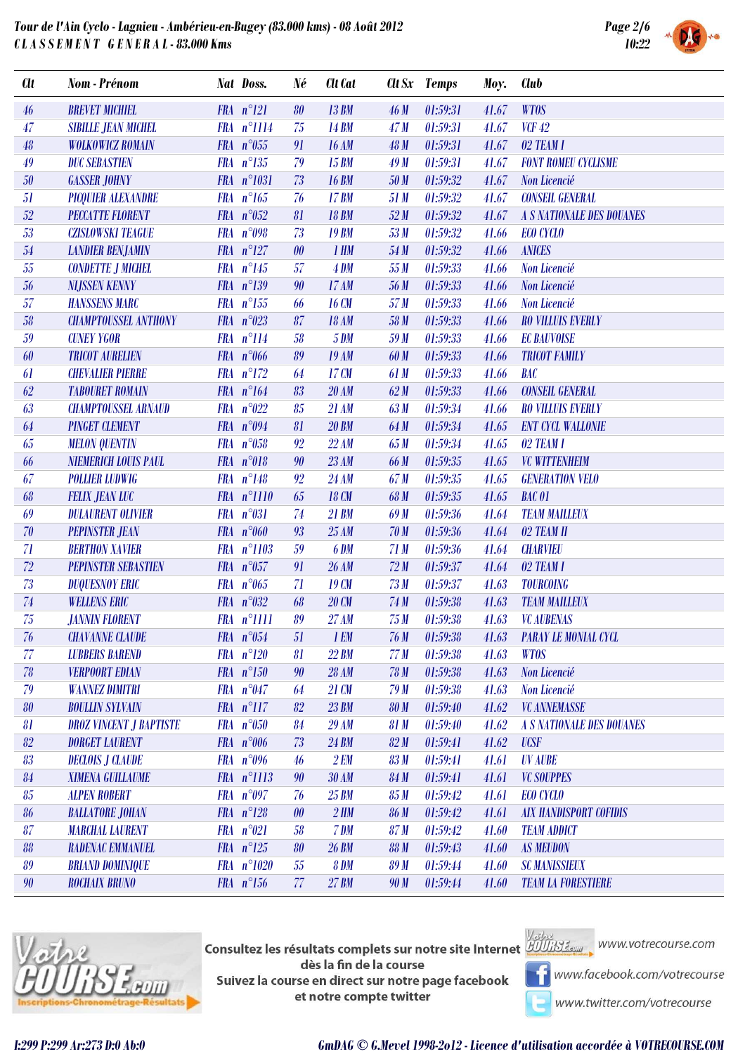

| <b>Clt</b> | <b>Nom</b> - Prénom            | <b>Nat Doss.</b>   | Né             | <b>Clt Cat</b> |             | Clt Sx Temps | Moy.  | Club                             |
|------------|--------------------------------|--------------------|----------------|----------------|-------------|--------------|-------|----------------------------------|
| 46         | <b>BREVET MICHIEL</b>          | $FRA n^{\circ}121$ | 80             | <b>13 BM</b>   | 46 M        | 01:59:31     | 41.67 | <b>WTOS</b>                      |
| 47         | <b>SIBILLE JEAN MICHEL</b>     | FRA n°1114         | 75             | <b>14 BM</b>   | 47M         | 01:59:31     | 41.67 | <b>VCF 42</b>                    |
| 48         | <b>WOLKOWICZ ROMAIN</b>        | FRA $n^{\circ}055$ | 91             | 16AM           | 48 M        | 01:59:31     | 41.67 | 02 TEAM I                        |
| 49         | <b>DUC SEBASTIEN</b>           | $FRA n^{\circ}135$ | 79             | <b>15 BM</b>   | 49M         | 01:59:31     | 41.67 | <b>FONT ROMEU CYCLISME</b>       |
| $5\theta$  | <b>GASSER JOHNY</b>            | FRA n°1031         | 73             | <b>16 BM</b>   | 50 M        | 01:59:32     | 41.67 | Non Licencié                     |
| 51         | <b>PICQUIER ALEXANDRE</b>      | FRA $n^{\circ}165$ | 76             | <b>17 BM</b>   | 51 M        | 01:59:32     | 41.67 | <b>CONSEIL GENERAL</b>           |
| 52         | <b>PECCATTE FLORENT</b>        | FRA $n^{\circ}052$ | 81             | <b>18 BM</b>   | 52M         | 01:59:32     | 41.67 | <b>A S NATIONALE DES DOUANES</b> |
| 53         | <b>CZISLOWSKI TEAGUE</b>       | FRA $n^{\circ}098$ | 73             | <b>19 BM</b>   | 53 M        | 01:59:32     | 41.66 | ECO CYCLO                        |
| $54\,$     | <b>LANDIER BENJAMIN</b>        | $FRA n^{\circ}127$ | $\theta$       | 1 H M          | 54 M        | 01:59:32     | 41.66 | <b>ANICES</b>                    |
| 55         | <b>CONDETTE J MICHEL</b>       | FRA $n^{\circ}145$ | 57             | 4 DM           | 55M         | 01:59:33     | 41.66 | Non Licencié                     |
| 56         | <b>NIJSSEN KENNY</b>           | $FRA n^{\circ}139$ | 90             | 17AM           | 56 M        | 01:59:33     | 41.66 | Non Licencié                     |
| 57         | <b>HANSSENS MARC</b>           | $FRA n^{\circ}155$ | 66             | 16 CM          | 57M         | 01:59:33     | 41.66 | Non Licencié                     |
| 58         | <b>CHAMPTOUSSEL ANTHONY</b>    | FRA $n^{\circ}023$ | 87             | <b>18 AM</b>   | 58 M        | 01:59:33     | 41.66 | <b>RO VILLUIS EVERLY</b>         |
| 59         | <b>CUNEY YGOR</b>              | $FRA n^{\circ}114$ | 58             | <b>5 DM</b>    | 59 M        | 01:59:33     | 41.66 | <b>EC BAUVOISE</b>               |
| 60         | <b>TRICOT AURELIEN</b>         | FRA $n^{\circ}066$ | 89             | 19AM           | 60 M        | 01:59:33     | 41.66 | <b>TRICOT FAMILY</b>             |
| 61         | <b>CHEVALIER PIERRE</b>        | $FRA n^{\circ}172$ | 64             | 17 CM          | 61 M        | 01:59:33     | 41.66 | <b>BAC</b>                       |
| 62         | <b>TABOURET ROMAIN</b>         | FRA $n^{\circ}164$ | 83             | <b>20 AM</b>   | 62M         | 01:59:33     | 41.66 | <b>CONSEIL GENERAL</b>           |
| 63         | <b>CHAMPTOUSSEL ARNAUD</b>     | FRA $n^{\circ}022$ | 85             | <b>21 AM</b>   | 63 M        | 01:59:34     | 41.66 | <b>RO VILLUIS EVERLY</b>         |
| 64         | <b>PINGET CLEMENT</b>          | FRA $n^{\circ}094$ | 81             | <b>20 BM</b>   | 64 M        | 01:59:34     | 41.65 | <b>ENT CYCL WALLONIE</b>         |
| 65         | <b>MELON QUENTIN</b>           | FRA $n^{\circ}058$ | 92             | 22AM           | 65 M        | 01:59:34     | 41.65 | 02 TEAM I                        |
| 66         | NIEMERICH LOUIS PAUL           | FRA n°018          | 90             | <b>23 AM</b>   | 66 M        | 01:59:35     | 41.65 | <b>VC WITTENHEIM</b>             |
| 67         | <b>POLLIER LUDWIG</b>          | $FRA n^{\circ}148$ | 92             | <b>24 AM</b>   | 67 M        | 01:59:35     | 41.65 | <b>GENERATION VELO</b>           |
| 68         | <b>FELIX JEAN LUC</b>          | FRA n°1110         | 65             | 18 CM          | 68 M        | 01:59:35     | 41.65 | <b>BAC 01</b>                    |
| 69         | <b>DULAURENT OLIVIER</b>       | FRA n°031          | 74             | 21 BM          | 69 M        | 01:59:36     | 41.64 | <b>TEAM MAILLEUX</b>             |
| 70         | <b>PEPINSTER JEAN</b>          | FRA n°060          | 93             | 25AM           | <b>70 M</b> | 01:59:36     | 41.64 | 02 TEAM II                       |
| 71         | <b>BERTHON XAVIER</b>          | FRA n°1103         | 59             | <b>6 DM</b>    | <b>71 M</b> | 01:59:36     | 41.64 | <b>CHARVIEU</b>                  |
| 72         | <b>PEPINSTER SEBASTIEN</b>     | FRA $n^{\circ}057$ | 91             | <b>26 AM</b>   | 72M         | 01:59:37     | 41.64 | 02 TEAM I                        |
| 73         | <b>DUQUESNOY ERIC</b>          | FRA $n^{\circ}065$ | 71             | 19 CM          | 73M         | 01:59:37     | 41.63 | <b>TOURCOING</b>                 |
| 74         | <b>WELLENS ERIC</b>            | FRA $n^{\circ}032$ | 68             | 20 CM          | 74 M        | 01:59:38     | 41.63 | <b>TEAM MAILLEUX</b>             |
| 75         | <b>JANNIN FLORENT</b>          | FRA n°1111         | 89             | <b>27 AM</b>   | 75M         | 01:59:38     | 41.63 | <b>VC AUBENAS</b>                |
| 76         | <b>CHAVANNE CLAUDE</b>         | FRA $n^{\circ}054$ | $5\mathcal{I}$ | 1 EM           | 76 M        | 01:59:38     |       | 41.63 PARAY LE MONIAL CYCL       |
| 77         | <b>LUBBERS BAREND</b>          | $FRA n^{\circ}120$ | 81             | $22$ BM        | 77M         | 01:59:38     | 41.63 | <b>WTOS</b>                      |
| 78         | <b>VERPOORT EDIAN</b>          | $FRA n^{\circ}150$ | 90             | <b>28 AM</b>   | 78 M        | 01:59:38     | 41.63 | Non Licencié                     |
| 79         | <b>WANNEZ DIMITRI</b>          | FRA n°047          | 64             | 21 CM          | 79M         | 01:59:38     | 41.63 | Non Licencié                     |
| 80         | <b>BOULLIN SYLVAIN</b>         | $FRA n^{\circ}117$ | 82             | 23 BM          | <b>80 M</b> | 01:59:40     | 41.62 | <b>VC ANNEMASSE</b>              |
| 81         | <b>DROZ VINCENT J BAPTISTE</b> | FRA n°050          | 84             | <b>29 AM</b>   | 81 M        | 01:59:40     | 41.62 | <b>A S NATIONALE DES DOUANES</b> |
| 82         | <b>DORGET LAURENT</b>          | FRA n°006          | 73             | <b>24 BM</b>   | 82M         | 01:59:41     | 41.62 | <b>UCSF</b>                      |
| 83         | <b>DECLOIS J CLAUDE</b>        | FRA $n^{\circ}096$ | 46             | 2EM            | 83 M        | 01:59:41     | 41.61 | <b>UV AUBE</b>                   |
| 84         | <b>XIMENA GUILLAUME</b>        | FRA n°1113         | 90             | 30AM           | <b>84 M</b> | 01:59:41     | 41.61 | <b>VC SOUPPES</b>                |
| 85         | <b>ALPEN ROBERT</b>            | FRA n°097          | 76             | <b>25 BM</b>   | 85 M        | 01:59:42     | 41.61 | <b>ECO CYCLO</b>                 |
| 86         | <b>BALLATORE JOHAN</b>         | $FRA n^{\circ}128$ | $\theta$       | 2H             | <b>86 M</b> | 01:59:42     | 41.61 | <b>AIX HANDISPORT COFIDIS</b>    |
| 87         | <b>MARCHAL LAURENT</b>         | FRA $n°021$        | 58             | 7 DM           | 87 M        | 01:59:42     | 41.60 | <b>TEAM ADDICT</b>               |
| 88         | RADENAC EMMANUEL               | $FRA n^{\circ}125$ | 80             | <b>26 BM</b>   | <b>88 M</b> | 01:59:43     | 41.60 | <b>AS MEUDON</b>                 |
| 89         | <b>BRIAND DOMINIQUE</b>        | FRA n°1020         | 55             | 8 DM           | <b>89 M</b> | 01:59:44     | 41.60 | <b>SC MANISSIEUX</b>             |
| 90         | <b>ROCHAIX BRUNO</b>           | $FRA n^{\circ}156$ | 77             | 27 BM          | 90 M        | 01:59:44     | 41.60 | <b>TEAM LA FORESTIERE</b>        |



Consultez les résultats complets sur notre site Internet Wabes www.votrecourse.com dès la fin de la course Suivez la course en direct sur notre page facebook et notre compte twitter



**T** www.facebook.com/votrecourse

www.twitter.com/votrecourse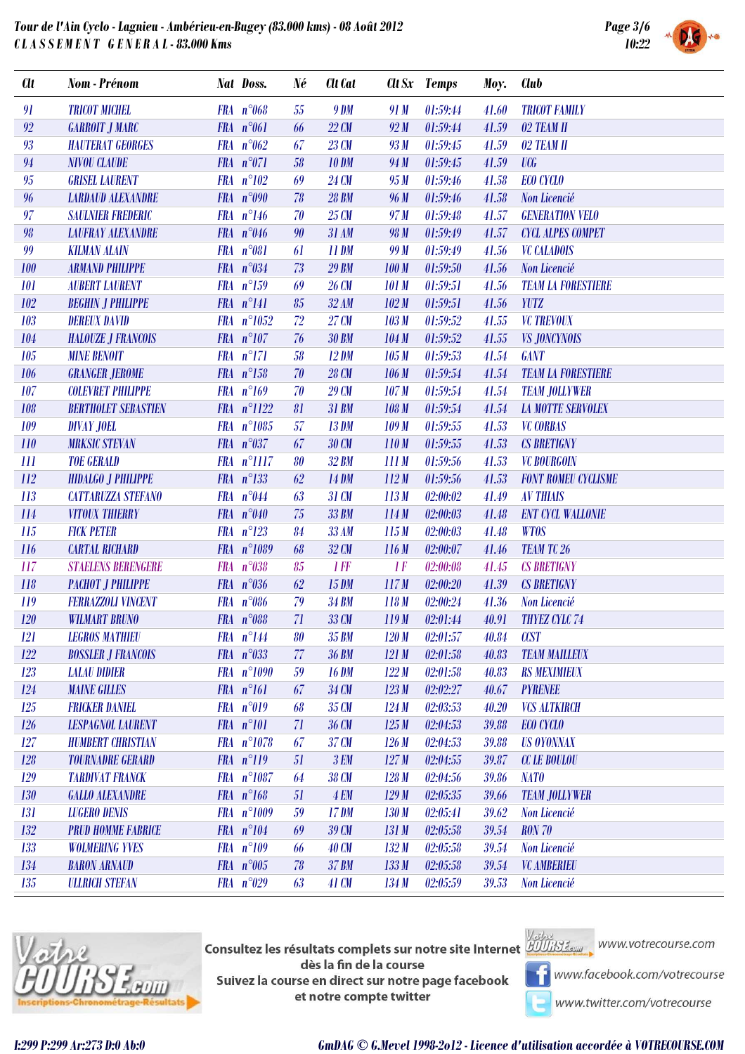

| <b>Clt</b>             | Nom - Prénom                 | <b>Nat Doss.</b>   | Né | Clt Cat         |                  | Clt Sx Temps | Moy.  | Club                       |
|------------------------|------------------------------|--------------------|----|-----------------|------------------|--------------|-------|----------------------------|
| 91                     | <b>TRICOT MICHEL</b>         | FRA $n^{\circ}068$ | 55 | <b>9 DM</b>     | 91 M             | 01:59:44     | 41.60 | <b>TRICOT FAMILY</b>       |
| 92                     | <b>GARROIT J MARC</b>        | FRA $n^{\circ}061$ | 66 | $22 \text{ C}M$ | 92M              | 01:59:44     | 41.59 | 02 TEAM II                 |
| 93                     | <b>HAUTERAT GEORGES</b>      | FRA $n^{\circ}062$ | 67 | 23 CM           | 93 M             | 01:59:45     | 41.59 | 02 TEAM II                 |
| $\mathbf{94}$          | <b>NIVOU CLAUDE</b>          | FRA n°071          | 58 | <b>10 DM</b>    | 94 M             | 01:59:45     | 41.59 | <b>UCG</b>                 |
| 95                     | <b>GRISEL LAURENT</b>        | $FRA n^{\circ}102$ | 69 | 24 CM           | 95 M             | 01:59:46     | 41.58 | ECO CYCLO                  |
| 96                     | <b>LARDAUD ALEXANDRE</b>     | FRA $n°090$        | 78 | <b>28 BM</b>    | 96 M             | 01:59:46     | 41.58 | Non Licencié               |
| 97                     | <b>SAULNIER FREDERIC</b>     | FRA $n^{\circ}146$ | 70 | 25 CM           | 97 M             | 01:59:48     | 41.57 | <b>GENERATION VELO</b>     |
| $\mathfrak{g}_{\bf 8}$ | <b>LAUFRAY ALEXANDRE</b>     | FRA $n^{\circ}046$ | 90 | 31 AM           | 98 M             | 01:59:49     | 41.57 | <b>CYCL ALPES COMPET</b>   |
| 99                     | <b>KILMAN ALAIN</b>          | FRA n°081          | 61 | <b>11 DM</b>    | 99 M             | 01:59:49     | 41.56 | <b>VC CALADOIS</b>         |
| 100                    | <b>ARMAND PHILIPPE</b>       | FRA $n^{\circ}034$ | 73 | <b>29 BM</b>    | 100M             | 01:59:50     | 41.56 | Non Licencié               |
| 101                    | <b>AUBERT LAURENT</b>        | $FRA n^{\circ}159$ | 69 | 26 CM           | 101 M            | 01:59:51     | 41.56 | <b>TEAM LA FORESTIERE</b>  |
| 102                    | <b>BEGHIN J PHILIPPE</b>     | $FRA n^{\circ}141$ | 85 | 32AM            | 102M             | 01:59:51     | 41.56 | <b>YUTZ</b>                |
| 103                    | <b>DEREUX DAVID</b>          | FRA n°1052         | 72 | 27 CM           | 103 M            | 01:59:52     | 41.55 | <b>VC TREVOUX</b>          |
| 104                    | <b>HALOUZE J FRANCOIS</b>    | $FRA n^{\circ}107$ | 76 | <b>30 BM</b>    | 104M             | 01:59:52     | 41.55 | <b>VS JONCYNOIS</b>        |
| 105                    | <b>MINE BENOIT</b>           | $FRA n^{\circ}171$ | 58 | $12$ DM         | 105 M            | 01:59:53     | 41.54 | <b>GANT</b>                |
| 106                    | <b>GRANGER JEROME</b>        | FRA $n^{\circ}158$ | 70 | 28 CM           | 106 M            | 01:59:54     | 41.54 | <b>TEAM LA FORESTIERE</b>  |
| 107                    | <b>COLEVRET PHILIPPE</b>     | $FRA n^{\circ}169$ | 70 | 29 CM           | 107M             | 01:59:54     | 41.54 | <b>TEAM JOLLYWER</b>       |
| 108                    | <b>BERTHOLET SEBASTIEN</b>   | FRA n°1122         | 81 | 31 BM           | 108M             | 01:59:54     | 41.54 | <b>LA MOTTE SERVOLEX</b>   |
| 109                    | <b>DIVAY JOEL</b>            | FRA n°1085         | 57 | <b>13 DM</b>    | 109M             | 01:59:55     | 41.53 | <b>VC CORBAS</b>           |
| 110                    | <b>MRKSIC STEVAN</b>         | FRA $n^{\circ}037$ | 67 | 30 CM           | 110M             | 01:59:55     | 41.53 | <b>CS BRETIGNY</b>         |
| 111                    | <b>TOE GERALD</b>            | FRA n°1117         | 80 | <b>32 BM</b>    | 111M             | 01:59:56     | 41.53 | <b>VC BOURGOIN</b>         |
| 112                    | <b>HIDALGO J PHILIPPE</b>    | $FRA n^{\circ}133$ | 62 | <b>14 DM</b>    | 112M             | 01:59:56     | 41.53 | <b>FONT ROMEU CYCLISME</b> |
| 113                    | <b>CATTARUZZA STEFANO</b>    | FRA $n^{\circ}044$ | 63 | 31 CM           | 113M             | 02:00:02     | 41.49 | <b>AV THIAIS</b>           |
| 114                    | <b>VITOUX THIERRY</b>        | FRA $n^{\circ}040$ | 75 | 33 BM           | 114M             | 02:00:03     | 41.48 | <b>ENT CYCL WALLONIE</b>   |
| 115                    | <b>FICK PETER</b>            | $FRA n^{\circ}123$ | 84 | 33 AM           | 115M             | 02:00:03     | 41.48 | <b>WTOS</b>                |
| 116                    | <b>CARTAL RICHARD</b>        | FRA n°1089         | 68 | 32 CM           | 116M             | 02:00:07     | 41.46 | <b>TEAM TC 26</b>          |
| 117                    | <b>STAELENS BERENGERE</b>    | FRA $n^{\circ}038$ | 85 | $1$ $FF$        | 1F               | 02:00:08     | 41.45 | <b>CS BRETIGNY</b>         |
| 118                    | РАСНОТ Ј РНШРРЕ              | FRA $n^{\circ}036$ | 62 | 15 DM           | 117M             | 02:00:20     | 41.39 | <b>CS BRETIGNY</b>         |
| 119                    | <b>FERRAZZOLI VINCENT</b>    | FRA n°086          | 79 | 34 BM           | 118M             | 02:00:24     | 41.36 | Non Licencié               |
| 120                    | <b>WILMART BRUNO</b>         | FRA $n^{\circ}088$ | 71 | 33 CM           | 119M             | 02:01:44     | 40.91 | <b>THYEZ CYLC 74</b>       |
| 121                    | <b>LEGROS MATHIEU</b>        | FRA n°144          | 80 | 35 BM           | 120 <sub>M</sub> | 02:01:57     | 40.84 | <b>CCST</b>                |
| 122                    | <b>BOSSLER J FRANCOIS</b>    | FRA $n^{\circ}033$ | 77 | <b>36 BM</b>    | 121M             | 02:01:58     | 40.83 | <b>TEAM MAILLEUX</b>       |
| 123                    | <b>LALAU DIDIER</b>          | FRA n°1090         | 59 | <b>16 DM</b>    | 122M             | 02:01:58     | 40.83 | <b>RS MEXIMIEUX</b>        |
| 124                    | <b>MAINE GILLES</b>          | FRA n°161          | 67 | 34 CM           | 123M             | 02:02:27     | 40.67 | <b>PYRENEE</b>             |
| 125                    | <b>FRICKER DANIEL</b>        | FRA n°019          | 68 | 35 CM           | 124M             | 02:03:53     | 40.20 | <b>VCS ALTKIRCH</b>        |
| <b>126</b>             | <b>LESPAGNOL LAURENT</b>     | FRA n°101          | 71 | 36 CM           | 125M             | 02:04:53     | 39.88 | ECO CYCLO                  |
| 127                    | <b>HUMBERT CHRISTIAN</b>     | FRA n°1078         | 67 | 37 CM           | 126M             | 02:04:53     | 39.88 | <b>US OYONNAX</b>          |
| 128                    | <b>TOURNADRE GERARD</b>      | $FRA n^{\circ}119$ | 51 | 3 EM            | 127M             | 02:04:55     | 39.87 | <b>CC LE BOULOU</b>        |
| 129                    | <b>TARDIVAT FRANCK</b>       | FRA n°1087         | 64 | 38 CM           | 128M             | 02:04:56     | 39.86 | NAT <sub>0</sub>           |
| 130                    | <b>GALLO ALEXANDRE</b>       | $FRA n^{\circ}168$ | 51 | <b>4 EM</b>     | 129M             | 02:05:35     | 39.66 | <b>TEAM JOLLYWER</b>       |
| 131                    | <b>LUGERO DENIS</b>          | FRA n°1009         | 59 | 17 DM           | 130 M            | 02:05:41     | 39.62 | Non Licencié               |
| 132                    | <b>PRUD HOMME FABRICE</b>    | FRA n°104          | 69 | 39 CM           | 131M             | 02:05:58     | 39.54 | <b>RON 70</b>              |
| 133                    | <b>WOLMERING YVES</b>        | FRA n°109          | 66 | <b>40 CM</b>    | 132M             | 02:05:58     | 39.54 | <b>Non Licencié</b>        |
| 134                    | <b>BARON ARNAUD</b>          | FRA n°005          | 78 | <b>37 BM</b>    | 133M             | 02:05:58     | 39.54 | <b>VC AMBERIEU</b>         |
| 135                    | <b><i>ULLRICH STEFAN</i></b> | FRA $n^{\circ}029$ | 63 | 41 CM           | 134M             | 02:05:59     | 39.53 | Non Licencié               |



Consultez les résultats complets sur notre site Internet Wabes www.votrecourse.com dès la fin de la course Suivez la course en direct sur notre page facebook et notre compte twitter



**T** www.facebook.com/votrecourse

www.twitter.com/votrecourse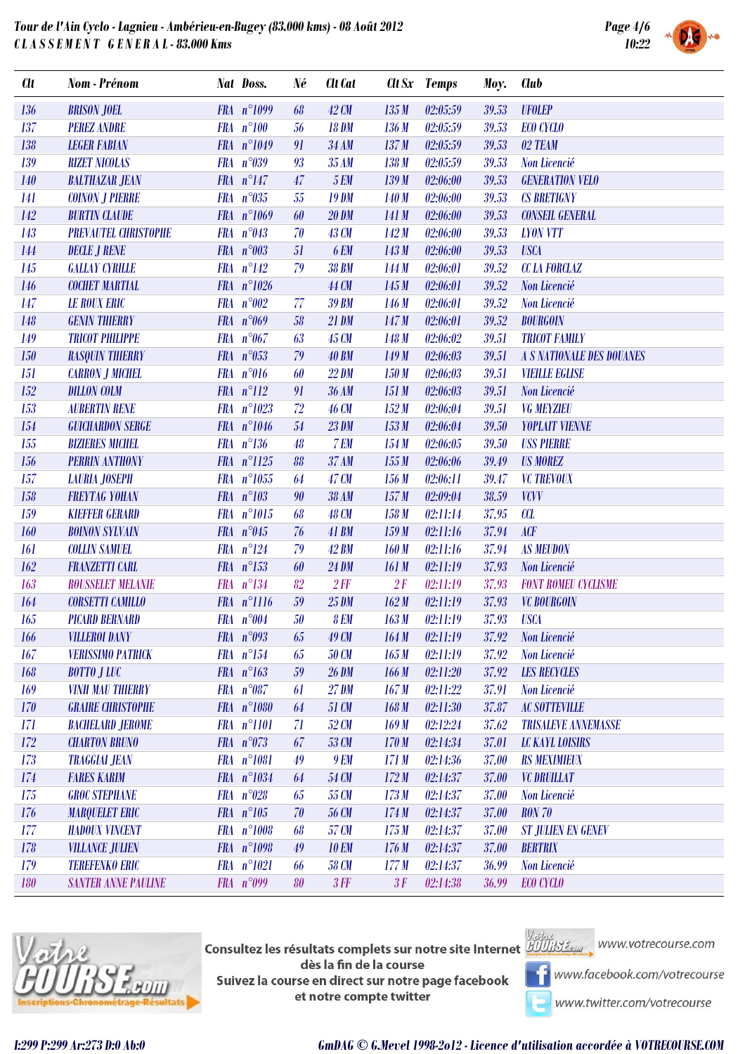

| <b>Clt</b> | Nom - Prénom                | Nat Doss.           | Né     | Clt Cat      |       | Clt Sx Temps       | Moy.  | Club                             |
|------------|-----------------------------|---------------------|--------|--------------|-------|--------------------|-------|----------------------------------|
| 136        | <b>BRISON JOEL</b>          | FRA n°1099          | 68     | 42 CM        | 135M  | 02:05:59           | 39.53 | <b>UFOLEP</b>                    |
| 137        | <b>PEREZ ANDRE</b>          | FRA n°100           | 56     | <b>18 DM</b> | 136M  | 02:05:59           | 39.53 | <b>ECO CYCLO</b>                 |
| 138        | <b>LEGER FABIAN</b>         | FRA n°1049          | 91     | 34 AM        | 137M  | 02:05:59           | 39.53 | 02 TEAM                          |
| 139        | <b>RIZET NICOLAS</b>        | FRA $n^{\circ}039$  | 93     | 35 AM        | 138M  | 02:05:59           | 39.53 | Non Licencié                     |
| <b>140</b> | <b>BALTHAZAR JEAN</b>       | FRA $n^{\circ}147$  | 47     | <b>5 EM</b>  | 139M  | 02:06:00           | 39.53 | <b>GENERATION VELO</b>           |
| 141        | <b>COINON J PIERRE</b>      | FRA $n^{\circ}035$  | 55     | <b>19 DM</b> | 140 M | 02:06:00           | 39.53 | <b>CS BRETIGNY</b>               |
| 142        | <b>BURTIN CLAUDE</b>        | FRA n°1069          | 60     | <b>20 DM</b> | 141 M | 02:06:00           | 39.53 | <b>CONSEIL GENERAL</b>           |
| 143        | <b>PREVAUTEL CHRISTOPHE</b> | FRA $n^{\circ}043$  | 70     | 43 CM        | 142M  | 02:06:00           | 39.53 | <b>LYON VTT</b>                  |
| 144        | <b>DECLE J RENE</b>         | FRA $n^{\circ}003$  | 51     | <b>6 EM</b>  | 143M  | 02:06:00           | 39.53 | <b>USCA</b>                      |
| 145        | <b>GALLAY CYRILLE</b>       | $FRA n^{\circ}142$  | 79     | <b>38 BM</b> | 144 M | 02:06:01           | 39.52 | <b>CC LA FORCLAZ</b>             |
| 146        | <b>COCHET MARTIAL</b>       | FRA n°1026          |        | 44 CM        | 145M  | 02:06:01           | 39.52 | Non Licencié                     |
| 147        | <b>LE ROUX ERIC</b>         | FRA $n^{\circ}002$  | 77     | <b>39 BM</b> | 146 M | 02:06:01           | 39.52 | Non Licencié                     |
| 148        | <b>GENIN THIERRY</b>        | FRA $n^{\circ}069$  | 58     | 21 DM        | 147 M | 02:06:01           | 39.52 | <b>BOURGOIN</b>                  |
| 149        | <b>TRICOT PHILIPPE</b>      | FRA $n^{\circ}067$  | 63     | 45 CM        | 148 M | 02:06:02           | 39.51 | <b>TRICOT FAMILY</b>             |
| $150$      | <b>RASQUIN THIERRY</b>      | FRA $n^{\circ}053$  | 79     | <b>40 BM</b> | 149M  | 02:06:03           | 39.51 | <b>A S NATIONALE DES DOUANES</b> |
| 151        | <b>CARRON J MICHEL</b>      | FRA n°016           | 60     | <b>22 DM</b> | 150M  | 02:06:03           | 39.51 | <b>VIEILLE EGLISE</b>            |
| 152        | <b>DILLON COLM</b>          | $FRA n^{\circ}112$  | 91     | <b>36 AM</b> | 151M  | 02:06:03           | 39.51 | Non Licencié                     |
| 153        | <b>AUBERTIN RENE</b>        | FRA n°1023          | 72     | 46 CM        | 152M  | 02:06:04           | 39.51 | <b>VG MEYZIEU</b>                |
| 154        | <b>GUICHARDON SERGE</b>     | FRA n°1046          | $54\,$ | <b>23 DM</b> | 153M  | 02:06:04           | 39.50 | <b>YOPLAIT VIENNE</b>            |
| 155        | <b>BIZIERES MICHEL</b>      | $FRA n^{\circ}136$  | 48     | 7 EM         | 154M  | 02:06:05           | 39.50 | <b>USS PIERRE</b>                |
| 156        | <b>PERRIN ANTHONY</b>       | FRA n°1125          | 88     | 37 AM        | 155M  | 02:06:06           | 39.49 | <b>US MOREZ</b>                  |
| 157        | <b>LAURIA JOSEPH</b>        | FRA n°1055          | 64     | 47 CM        | 156M  | 02:06:11           | 39.47 | <b>VC TREVOUX</b>                |
| 158        | <b>FREYTAG YOHAN</b>        | $FRA n^{\circ}103$  | 90     | <b>38 AM</b> | 157M  | 02:09:04           | 38.59 | <b>VCVV</b>                      |
| 159        | <b>KIEFFER GERARD</b>       | FRA n°1015          | 68     | <b>48 CM</b> | 158M  | 02:11:14           | 37.95 | CL                               |
| 160        | <b>BOINON SYLVAIN</b>       | FRA $n^{\circ}045$  | 76     | <b>41 BM</b> | 159M  | 02:11:16           | 37.94 | ACF                              |
| 161        | <b>COLLIN SAMUEL</b>        | FRA $n^{\circ}124$  | 79     | <b>42 BM</b> | 160M  | 02:11:16           | 37.94 | <b>AS MEUDON</b>                 |
| 162        | <b>FRANZETTI CARL</b>       | $FRA n^{\circ}153$  | 60     | 24 DM        | 161M  | 02:11:19           | 37.93 | Non Licencié                     |
| 163        | <b>ROUSSELET MELANIE</b>    | FRA n°134           | 82     | 2FF          | 2F    | 02:11:19           | 37.93 | <b>FONT ROMEU CYCLISME</b>       |
| 164        | <b>CORSETTI CAMILLO</b>     | FRA n°1116          | 59     | 25 DM        | 162M  | 02:11:19           | 37.93 | <b>VC BOURGOIN</b>               |
| 165        | <b>PICARD BERNARD</b>       | FRA $n^{\circ}004$  | 50     | <b>8 EM</b>  | 163 M | 02:11:19           | 37.93 | <b>USCA</b>                      |
| 166        | <b>VILLEROI DANY</b>        | FRA $n°093$         | 65     | 49 CM        |       | $164 M$ $02:11:19$ |       | 37.92 Non Licencié               |
| 167        | <b>VERISSIMO PATRICK</b>    | $FRA n^{\circ}154$  | 65     | 50 CM        | 165M  | 02:11:19           | 37.92 | Non Licencié                     |
| 168        | <b>BOTTO J LUC</b>          | FRA $n^{\circ}163$  | 59     | <b>26 DM</b> | 166M  | 02:11:20           | 37.92 | <b>LES RECYCLES</b>              |
| 169        | <b>VINH MAU THIERRY</b>     | FRA n°087           | 61     | 27 DM        | 167M  | 02:11:22           | 37.91 | Non Licencié                     |
| 170        | <b>GRAIRE CHRISTOPHE</b>    | FRA n°1080          | 64     | 51 CM        | 168M  | 02:11:30           | 37.87 | <b>AC SOTTEVILLE</b>             |
| 171        | <b>BACHELARD JEROME</b>     | FRA n°1101          | 71     | 52 CM        | 169M  | 02:12:24           | 37.62 | <b>TRISALEVE ANNEMASSE</b>       |
| 172        | <b>CHARTON BRUNO</b>        | FRA n°073           | 67     | 53 CM        | 170M  | 02:14:34           | 37.01 | <b>LC KAYL LOISIRS</b>           |
| 173        | <b>TRAGGIAI JEAN</b>        | FRA n°1081          | 49     | <b>9 EM</b>  | 171M  | 02:14:36           | 37.00 | <b>RS MEXIMIEUX</b>              |
| 174        | <b>FARES KARIM</b>          | FRA n°1034          | 64     | 54 CM        | 172M  | 02:14:37           | 37.00 | <b>VC DRUILLAT</b>               |
| 175        | <b>GROC STEPHANE</b>        | FRA $n^{\circ}028$  | 65     | 55 CM        | 173M  | 02:14:37           | 37.00 | Non Licencié                     |
| 176        | <b>MARQUELET ERIC</b>       | FRA n°105           | 70     | 56 CM        | 174M  | 02:14:37           | 37.00 | <b>RON 70</b>                    |
| 177        | <b>HADOUX VINCENT</b>       | FRA n°1008          | 68     | 57 CM        | 175M  | 02:14:37           | 37.00 | <b>ST JULIEN EN GENEV</b>        |
| 178        | <b>VILLANCE JULIEN</b>      | FRA $n^{\circ}1098$ | 49     | <b>10 EM</b> | 176M  | 02:14:37           | 37.00 | <b>BERTRIX</b>                   |
| 179        | <b>TEREFENKO ERIC</b>       | FRA n°1021          | 66     | 58 CM        | 177M  | 02:14:37           | 36.99 | Non Licencié                     |
| 180        | <b>SANTER ANNE PAULINE</b>  | FRA $n°099$         | $80\,$ | 3FF          | 3F    | 02:14:38           | 36.99 | <b>ECO CYCLO</b>                 |



Consultez les résultats complets sur notre site Internet Wabes www.votrecourse.com dès la fin de la course Suivez la course en direct sur notre page facebook et notre compte twitter



**T** www.facebook.com/votrecourse

www.twitter.com/votrecourse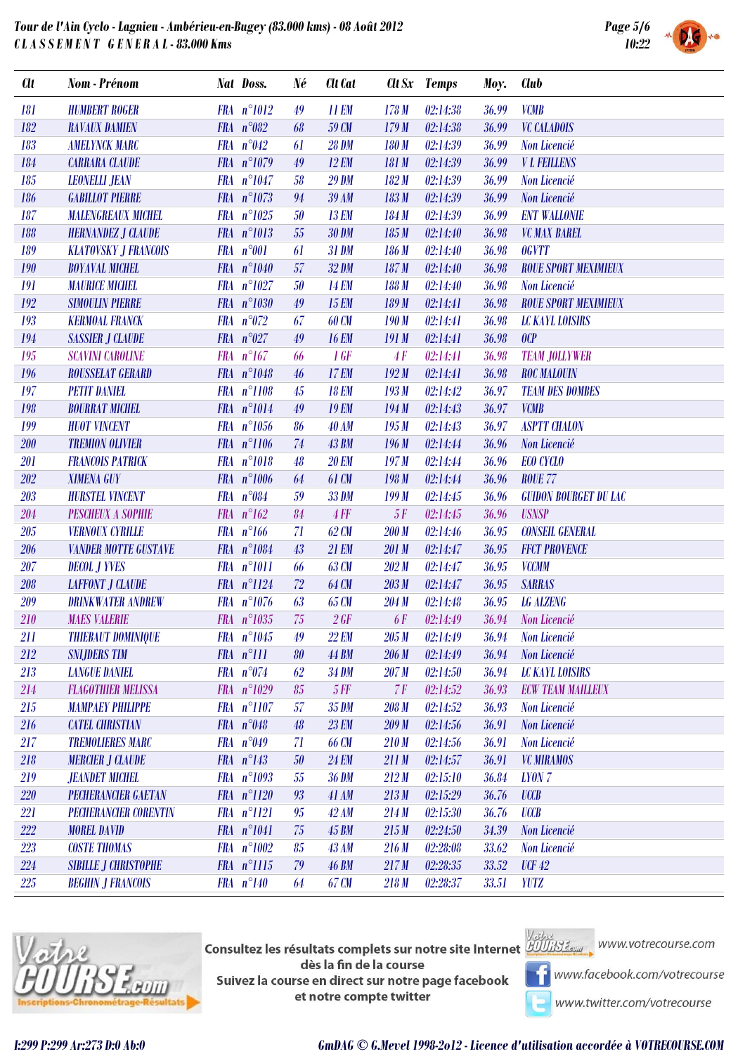

| <b>Clt</b> | Nom - Prénom                 | Nat Doss.             | Né     | Clt Cat      |           | Clt Sx Temps | Moy.  | Club                         |
|------------|------------------------------|-----------------------|--------|--------------|-----------|--------------|-------|------------------------------|
| 181        | <b>HUMBERT ROGER</b>         | FRA n°1012            | 49     | <b>11 EM</b> | 178M      | 02:14:38     | 36.99 | <b>VCMB</b>                  |
| 182        | <b>RAVAUX DAMIEN</b>         | FRA $n^{\circ}082$    | 68     | 59 CM        | 179M      | 02:14:38     | 36.99 | <b>VC CALADOIS</b>           |
| 183        | <b>AMELYNCK MARC</b>         | FRA $n^{\circ}042$    | 61     | <b>28 DM</b> | 180 M     | 02:14:39     | 36.99 | Non Licencié                 |
| 184        | <b>CARRARA CLAUDE</b>        | FRA n°1079            | 49     | <b>12 EM</b> | 181 M     | 02:14:39     | 36.99 | <b>VL FEILLENS</b>           |
| 185        | <b>LEONELLI JEAN</b>         | FRA n°1047            | 58     | <b>29 DM</b> | 182M      | 02:14:39     | 36.99 | Non Licencié                 |
| 186        | <b>GABILLOT PIERRE</b>       | FRA $n^{\circ}1073$   | 94     | <b>39 AM</b> | 183M      | 02:14:39     | 36.99 | Non Licencié                 |
| 187        | <b>MALENGREAUX MICHEL</b>    | $FRA$ $n^{\circ}1025$ | $50\,$ | <b>13 EM</b> | 184M      | 02:14:39     | 36.99 | <b>ENT WALLONIE</b>          |
| 188        | <b>HERNANDEZ J CLAUDE</b>    | FRA n°1013            | $55\,$ | <b>30 DM</b> | 185M      | 02:14:40     | 36.98 | <b>VC MAX BAREL</b>          |
| 189        | <b>KLATOVSKY J FRANCOIS</b>  | FRA n°001             | 61     | 31 DM        | 186 M     | 02:14:40     | 36.98 | <b>OGVTT</b>                 |
| 190        | <b>BOYAVAL MICHEL</b>        | FRA $n^{\circ}1040$   | $57\,$ | 32 DM        | 187M      | 02:14:40     | 36.98 | <b>ROUE SPORT MEXIMIEUX</b>  |
| 191        | <b>MAURICE MICHEL</b>        | FRA n°1027            | 50     | <b>14 EM</b> | 188 M     | 02:14:40     | 36.98 | Non Licencié                 |
| 192        | <b>SIMOULIN PIERRE</b>       | FRA n°1030            | 49     | <b>15 EM</b> | 189M      | 02:14:41     | 36.98 | <b>ROUE SPORT MEXIMIEUX</b>  |
| 193        | <b>KERMOAL FRANCK</b>        | FRA $n^{\circ}072$    | 67     | 60 CM        | 190M      | 02:14:41     | 36.98 | <b>LC KAYL LOISIRS</b>       |
| 194        | <b>SASSIER J CLAUDE</b>      | FRA $n^{\circ}027$    | 49     | <b>16 EM</b> | 191M      | 02:14:41     | 36.98 | OCP                          |
| 195        | <b>SCAVINI CAROLINE</b>      | $FRA$ $n^{\circ}167$  | 66     | 1 GF         | 4F        | 02:14:41     | 36.98 | <b>TEAM JOLLYWER</b>         |
| 196        | <b>ROUSSELAT GERARD</b>      | FRA n°1048            | 46     | <b>17 EM</b> | 192M      | 02:14:41     | 36.98 | <b>ROC MALOUIN</b>           |
| 197        | <b>PETIT DANIEL</b>          | FRA n°1108            | 45     | <b>18 EM</b> | 193M      | 02:14:42     | 36.97 | <b>TEAM DES DOMBES</b>       |
| 198        | <b>BOURRAT MICHEL</b>        | $FRA$ $n^{\circ}1014$ | 49     | <b>19 EM</b> | 194M      | 02:14:43     | 36.97 | <b>VCMB</b>                  |
| 199        | <b>HUOT VINCENT</b>          | $FRA n^{\circ}1056$   | 86     | <b>40 AM</b> | 195M      | 02:14:43     | 36.97 | <b>ASPTT CHALON</b>          |
| 200        | <b>TREMION OLIVIER</b>       | FRA n°1106            | 74     | <b>43 BM</b> | 196M      | 02:14:44     | 36.96 | Non Licencié                 |
| 201        | <b>FRANCOIS PATRICK</b>      | $FRA$ $n^{\circ}1018$ | 48     | <b>20 EM</b> | 197M      | 02:14:44     | 36.96 | <b>ECO CYCLO</b>             |
| 202        | <b>XIMENA GUY</b>            | $FRA$ $n^{\circ}1006$ | 64     | 61 CM        | 198M      | 02:14:44     | 36.96 | <b>ROUE 77</b>               |
| 203        | <b>HURSTEL VINCENT</b>       | FRA $n^{\circ}084$    | 59     | 33 DM        | 199M      | 02:14:45     | 36.96 | <b>GUIDON BOURGET DU LAC</b> |
| 204        | <b>PESCHEUX A SOPHIE</b>     | FRA $n^{\circ}162$    | 84     | $4$ $FF$     | 5F        | 02:14:45     | 36.96 | <b>USNSP</b>                 |
| 205        | <b>VERNOUX CYRILLE</b>       | $FRA$ $n^{\circ}166$  | 71     | 62 CM        | 200 M     | 02:14:46     | 36.95 | <b>CONSEIL GENERAL</b>       |
| 206        | <b>VANDER MOTTE GUSTAVE</b>  | FRA $n^{\circ}1084$   | 43     | <b>21 EM</b> | 201M      | 02:14:47     | 36.95 | <b>FFCT PROVENCE</b>         |
| 207        | <b>DECOL J YVES</b>          | $FRA$ $n^{\circ}1011$ | 66     | 63 CM        | 202M      | 02:14:47     | 36.95 | <b>VCCMM</b>                 |
| 208        | <b>LAFFONT J CLAUDE</b>      | FRA n°1124            | 72     | 64 CM        | 203 M     | 02:14:47     | 36.95 | <b>SARRAS</b>                |
| 209        | <b>DRINKWATER ANDREW</b>     | $FRA$ $n^{\circ}1076$ | 63     | 65 CM        | 204M      | 02:14:48     | 36.95 | <b>LG ALZENG</b>             |
| 210        | <b>MAES VALERIE</b>          | FRA n°1035            | 75     | 26F          | <b>6F</b> | 02:14:49     | 36.94 | Non Licencié                 |
| 211        | <b>THIEBAUT DOMINIQUE</b>    | FRA n°1045            | 49     | <b>22 EM</b> | 205 M     | 02:14:49     | 36.94 | <b>Non Licencié</b>          |
| 212        | <b>SNIJDERS TIM</b>          | FRA n°111             | 80     | <b>44 BM</b> | 206 M     | 02:14:49     | 36.94 | Non Licencié                 |
| 213        | <b>LANGUE DANIEL</b>         | FRA $n^{\circ}074$    | 62     | <b>34 DM</b> | 207M      | 02:14:50     | 36.94 | <b>LC KAYL LOISIRS</b>       |
| 214        | <b>FLAGOTHIER MELISSA</b>    | FRA n°1029            | 85     | $5\,F\!F$    | 7F        | 02:14:52     | 36.93 | <b>ECW TEAM MAILLEUX</b>     |
| 215        | <b>MAMPAEY PHILIPPE</b>      | $FRA$ $n^{\circ}1107$ | 57     | 35 DM        | 208M      | 02:14:52     | 36.93 | Non Licencié                 |
| 216        | <b>CATEL CHRISTIAN</b>       | FRA $n^{\circ}048$    | 48     | <b>23 EM</b> | 209M      | 02:14:56     | 36.91 | Non Licencié                 |
| 217        | <b>TREMOLIERES MARC</b>      | FRA n°049             | 71     | 66 CM        | 210M      | 02:14:56     | 36.91 | Non Licencié                 |
| 218        | <b>MERCIER J CLAUDE</b>      | $FRA n^{\circ}143$    | $50\,$ | <b>24 EM</b> | 211M      | 02:14:57     | 36.91 | <b>VC MIRAMOS</b>            |
| 219        | <b>JEANDET MICHEL</b>        | FRA n°1093            | 55     | <b>36 DM</b> | 212M      | 02:15:10     | 36.84 | <b>LYON 7</b>                |
| 220        | <b>PECHERANCIER GAETAN</b>   | $FRA$ $n^{\circ}1120$ | 93     | <b>41 AM</b> | 213M      | 02:15:29     | 36.76 | <b>UCCB</b>                  |
| 221        | <b>PECHERANCIER CORENTIN</b> | $FRA$ $n^{\circ}1121$ | 95     | 42AM         | 214M      | 02:15:30     | 36.76 | <b>UCCB</b>                  |
| 222        | <b>MOREL DAVID</b>           | FRA n°1041            | 75     | <b>45 BM</b> | 215M      | 02:24:50     | 34.39 | Non Licencié                 |
| 223        | <b>COSTE THOMAS</b>          | $FRA n^{\circ}1002$   | 85     | <b>43 AM</b> | 216M      | 02:28:08     | 33.62 | Non Licencié                 |
| 224        | <b>SIBILLE J CHRISTOPHE</b>  | FRA n°1115            | 79     | <b>46 BM</b> | 217M      | 02:28:35     | 33.52 | <b>UCF 42</b>                |
| 225        | <b>BEGHIN J FRANCOIS</b>     | FRA $n^{\circ}140$    | 64     | 67 CM        | 218M      | 02:28:37     | 33.51 | <b>YUTZ</b>                  |



**Consultez les résultats complets sur notre site Internet** Willingson WWW.votrecourse.com dès la fin de la course Suivez la course en direct sur notre page facebook et notre compte twitter



www.facebook.com/votrecourse

www.twitter.com/votrecourse